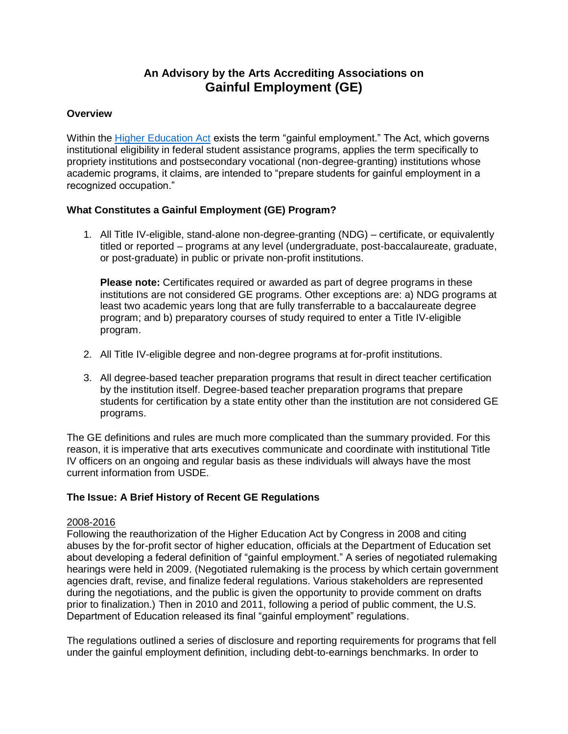# **An Advisory by the Arts Accrediting Associations on Gainful Employment (GE)**

## **Overview**

Within the [Higher Education Act](https://www2.ed.gov/policy/highered/leg/hea08/index.html) exists the term "gainful employment." The Act, which governs institutional eligibility in federal student assistance programs, applies the term specifically to propriety institutions and postsecondary vocational (non-degree-granting) institutions whose academic programs, it claims, are intended to "prepare students for gainful employment in a recognized occupation."

# **What Constitutes a Gainful Employment (GE) Program?**

1. All Title IV-eligible, stand-alone non-degree-granting (NDG) – certificate, or equivalently titled or reported – programs at any level (undergraduate, post-baccalaureate, graduate, or post-graduate) in public or private non-profit institutions.

**Please note:** Certificates required or awarded as part of degree programs in these institutions are not considered GE programs. Other exceptions are: a) NDG programs at least two academic years long that are fully transferrable to a baccalaureate degree program; and b) preparatory courses of study required to enter a Title IV-eligible program.

- 2. All Title IV-eligible degree and non-degree programs at for-profit institutions.
- 3. All degree-based teacher preparation programs that result in direct teacher certification by the institution itself. Degree-based teacher preparation programs that prepare students for certification by a state entity other than the institution are not considered GE programs.

The GE definitions and rules are much more complicated than the summary provided. For this reason, it is imperative that arts executives communicate and coordinate with institutional Title IV officers on an ongoing and regular basis as these individuals will always have the most current information from USDE.

# **The Issue: A Brief History of Recent GE Regulations**

## 2008-2016

Following the reauthorization of the Higher Education Act by Congress in 2008 and citing abuses by the for-profit sector of higher education, officials at the Department of Education set about developing a federal definition of "gainful employment." A series of negotiated rulemaking hearings were held in 2009. (Negotiated rulemaking is the process by which certain government agencies draft, revise, and finalize federal regulations. Various stakeholders are represented during the negotiations, and the public is given the opportunity to provide comment on drafts prior to finalization.) Then in 2010 and 2011, following a period of public comment, the U.S. Department of Education released its final "gainful employment" regulations.

The regulations outlined a series of disclosure and reporting requirements for programs that fell under the gainful employment definition, including debt-to-earnings benchmarks. In order to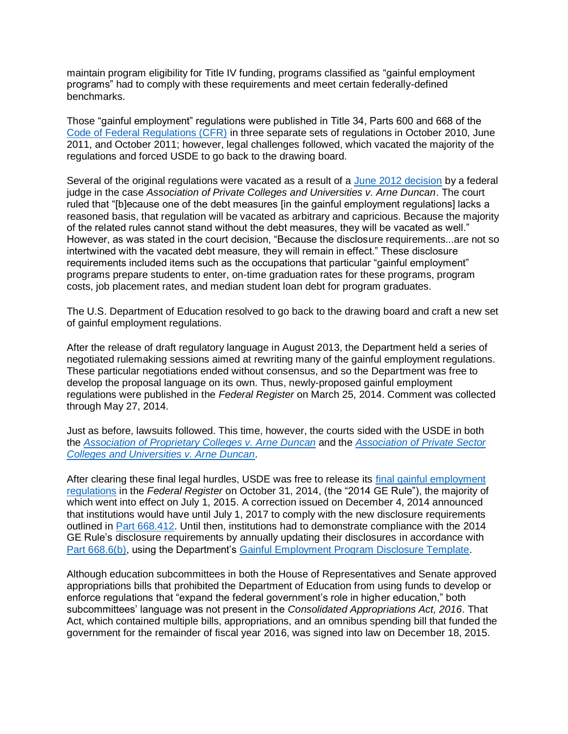maintain program eligibility for Title IV funding, programs classified as "gainful employment programs" had to comply with these requirements and meet certain federally-defined benchmarks.

Those "gainful employment" regulations were published in Title 34, Parts 600 and 668 of the [Code of Federal Regulations \(CFR\)](https://www.ecfr.gov/cgi-bin/ECFR?page=browse) in three separate sets of regulations in October 2010, June 2011, and October 2011; however, legal challenges followed, which vacated the majority of the regulations and forced USDE to go back to the drawing board.

Several of the original regulations were vacated as a result of a [June 2012 decision](https://ecf.dcd.uscourts.gov/cgi-bin/show_public_doc?2011cv1314-25) by a federal judge in the case *Association of Private Colleges and Universities v. Arne Duncan*. The court ruled that "[b]ecause one of the debt measures [in the gainful employment regulations] lacks a reasoned basis, that regulation will be vacated as arbitrary and capricious. Because the majority of the related rules cannot stand without the debt measures, they will be vacated as well." However, as was stated in the court decision, "Because the disclosure requirements...are not so intertwined with the vacated debt measure, they will remain in effect." These disclosure requirements included items such as the occupations that particular "gainful employment" programs prepare students to enter, on-time graduation rates for these programs, program costs, job placement rates, and median student loan debt for program graduates.

The U.S. Department of Education resolved to go back to the drawing board and craft a new set of gainful employment regulations.

After the release of draft regulatory language in August 2013, the Department held a series of negotiated rulemaking sessions aimed at rewriting many of the gainful employment regulations. These particular negotiations ended without consensus, and so the Department was free to develop the proposal language on its own. Thus, newly-proposed gainful employment regulations were published in the *Federal Register* on March 25, 2014. Comment was collected through May 27, 2014.

Just as before, lawsuits followed. This time, however, the courts sided with the USDE in both the *[Association of Proprietary Colleges v. Arne Duncan](https://www.documentcloud.org/documents/2089206-opinion-in-association-of-proprietary-colleges-v.html)* and the *[Association of Private Sector](https://ecf.dcd.uscourts.gov/cgi-bin/show_public_doc?2014cv1870-31)  [Colleges and Universities v. Arne Duncan](https://ecf.dcd.uscourts.gov/cgi-bin/show_public_doc?2014cv1870-31)*.

After clearing these final legal hurdles, USDE was free to release its [final gainful employment](https://www.govinfo.gov/content/pkg/FR-2014-10-31/pdf/2014-25594.pdf)  [regulations](https://www.govinfo.gov/content/pkg/FR-2014-10-31/pdf/2014-25594.pdf) in the *Federal Register* on October 31, 2014, (the "2014 GE Rule"), the majority of which went into effect on July 1, 2015. A correction issued on December 4, 2014 announced that institutions would have until July 1, 2017 to comply with the new disclosure requirements outlined in [Part 668.412.](http://www.ecfr.gov/cgi-bin/text-idx?SID=e70362060bf490a836ccc981f1f04b3a&mc=true&node=pt34.3.668&rgn=div5#se34.3.668_1412) Until then, institutions had to demonstrate compliance with the 2014 GE Rule's disclosure requirements by annually updating their disclosures in accordance with [Part 668.6\(b\),](https://www.ecfr.gov/cgi-bin/retrieveECFR?gp=&SID=6ede47f2a84419f16a0da0b2ff82cc80&mc=true&n=pt34.3.668&r=PART&ty=HTML#se34.3.668_16) using the Department's [Gainful Employment Program Disclosure Template.](https://ope.ed.gov/GainfulEmployment/)

Although education subcommittees in both the House of Representatives and Senate approved appropriations bills that prohibited the Department of Education from using funds to develop or enforce regulations that "expand the federal government's role in higher education," both subcommittees' language was not present in the *Consolidated Appropriations Act, 2016*. That Act, which contained multiple bills, appropriations, and an omnibus spending bill that funded the government for the remainder of fiscal year 2016, was signed into law on December 18, 2015.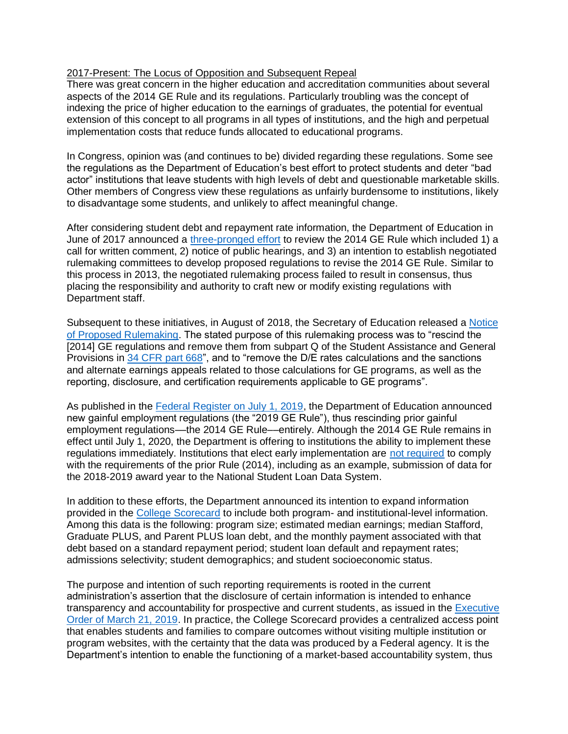#### 2017-Present: The Locus of Opposition and Subsequent Repeal

There was great concern in the higher education and accreditation communities about several aspects of the 2014 GE Rule and its regulations. Particularly troubling was the concept of indexing the price of higher education to the earnings of graduates, the potential for eventual extension of this concept to all programs in all types of institutions, and the high and perpetual implementation costs that reduce funds allocated to educational programs.

In Congress, opinion was (and continues to be) divided regarding these regulations. Some see the regulations as the Department of Education's best effort to protect students and deter "bad actor" institutions that leave students with high levels of debt and questionable marketable skills. Other members of Congress view these regulations as unfairly burdensome to institutions, likely to disadvantage some students, and unlikely to affect meaningful change.

After considering student debt and repayment rate information, the Department of Education in June of 2017 announced a [three-pronged effort](https://www.federalregister.gov/documents/2017/06/16/2017-12555/negotiated-rulemaking-committee-public-hearings) to review the 2014 GE Rule which included 1) a call for written comment, 2) notice of public hearings, and 3) an intention to establish negotiated rulemaking committees to develop proposed regulations to revise the 2014 GE Rule. Similar to this process in 2013, the negotiated rulemaking process failed to result in consensus, thus placing the responsibility and authority to craft new or modify existing regulations with Department staff.

Subsequent to these initiatives, in August of 2018, the Secretary of Education released a [Notice](https://www.federalregister.gov/documents/2018/08/14/2018-17531/program-integrity-gainful-employment)  [of Proposed Rulemaking.](https://www.federalregister.gov/documents/2018/08/14/2018-17531/program-integrity-gainful-employment) The stated purpose of this rulemaking process was to "rescind the [2014] GE regulations and remove them from subpart Q of the Student Assistance and General Provisions in [34 CFR part 668"](https://www.federalregister.gov/select-citation/2018/08/14/34-CFR-668), and to "remove the D/E rates calculations and the sanctions and alternate earnings appeals related to those calculations for GE programs, as well as the reporting, disclosure, and certification requirements applicable to GE programs".

As published in the [Federal Register on July 1, 2019,](https://www.govinfo.gov/content/pkg/FR-2019-07-01/pdf/2019-13703.pdf) the Department of Education announced new gainful employment regulations (the "2019 GE Rule"), thus rescinding prior gainful employment regulations––the 2014 GE Rule––entirely. Although the 2014 GE Rule remains in effect until July 1, 2020, the Department is offering to institutions the ability to implement these regulations immediately. Institutions that elect early implementation are [not required](https://ifap.ed.gov/eannouncements/062819GEAnnounce122EarlyImplofRescissionGERule.html) to comply with the requirements of the prior Rule (2014), including as an example, submission of data for the 2018-2019 award year to the National Student Loan Data System.

In addition to these efforts, the Department announced its intention to expand information provided in the [College Scorecard](https://www.federalregister.gov/d/2019-13703/p-43) to include both program- and institutional-level information. Among this data is the following: program size; estimated median earnings; median Stafford, Graduate PLUS, and Parent PLUS loan debt, and the monthly payment associated with that debt based on a standard repayment period; student loan default and repayment rates; admissions selectivity; student demographics; and student socioeconomic status.

The purpose and intention of such reporting requirements is rooted in the current administration's assertion that the disclosure of certain information is intended to enhance transparency and accountability for prospective and current students, as issued in the [Executive](https://www.whitehouse.gov/presidential-actions/executive-order-improving-free-inquiry-transparency-accountability-colleges-universities/)  Order of [March 21, 2019.](https://www.whitehouse.gov/presidential-actions/executive-order-improving-free-inquiry-transparency-accountability-colleges-universities/) In practice, the College Scorecard provides a centralized access point that enables students and families to compare outcomes without visiting multiple institution or program websites, with the certainty that the data was produced by a Federal agency. It is the Department's intention to enable the functioning of a market-based accountability system, thus